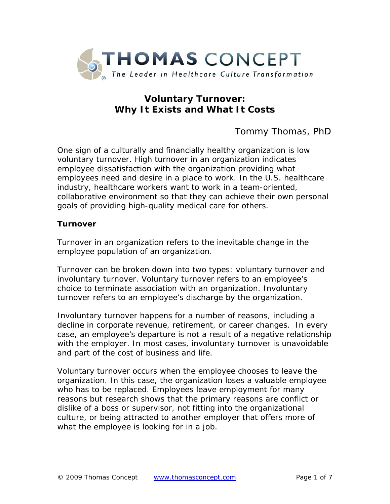

# **Voluntary Turnover: Why It Exists and What It Costs**

Tommy Thomas, PhD

One sign of a culturally and financially healthy organization is low voluntary turnover. High turnover in an organization indicates employee dissatisfaction with the organization providing what employees need and desire in a place to work. In the U.S. healthcare industry, healthcare workers want to work in a team-oriented, collaborative environment so that they can achieve their own personal goals of providing high-quality medical care for others.

#### **Turnover**

Turnover in an organization refers to the inevitable change in the employee population of an organization.

Turnover can be broken down into two types: *voluntary turnover* and *involuntary turnover*. Voluntary turnover refers to an employee's choice to terminate association with an organization. Involuntary turnover refers to an employee's discharge by the organization.

Involuntary turnover happens for a number of reasons, including a decline in corporate revenue, retirement, or career changes. In every case, an employee's departure is not a result of a negative relationship with the employer. In most cases, involuntary turnover is unavoidable and part of the cost of business and life.

Voluntary turnover occurs when the employee chooses to leave the organization. In this case, the organization loses a valuable employee who has to be replaced. Employees leave employment for many reasons but research shows that the primary reasons are conflict or dislike of a boss or supervisor, not fitting into the organizational culture, or being attracted to another employer that offers more of what the employee is looking for in a job.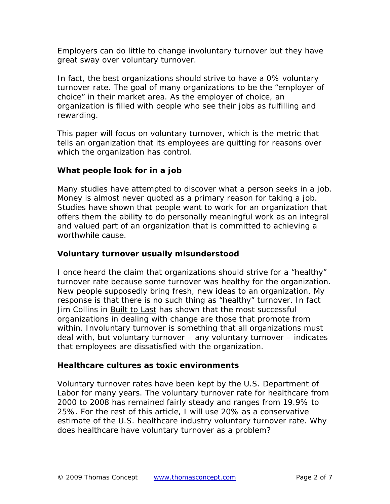Employers can do little to change involuntary turnover but they have great sway over voluntary turnover.

In fact, the best organizations should strive to have a 0% voluntary turnover rate. The goal of many organizations to be the "employer of choice" in their market area. As the employer of choice, an organization is filled with people who see their jobs as fulfilling and rewarding.

This paper will focus on voluntary turnover, which is the metric that tells an organization that its employees are quitting for reasons over which the organization has control.

### **What people look for in a job**

Many studies have attempted to discover what a person seeks in a job. Money is almost never quoted as a primary reason for taking a job. Studies have shown that people want to work for an organization that offers them the ability to do personally meaningful work as an integral and valued part of an organization that is committed to achieving a worthwhile cause.

#### **Voluntary turnover usually misunderstood**

I once heard the claim that organizations should strive for a "healthy" turnover rate because some turnover was healthy for the organization. New people supposedly bring fresh, new ideas to an organization. My response is that there is no such thing as "healthy" turnover. In fact Jim Collins in Built to Last has shown that the most successful organizations in dealing with change are those that promote from within. Involuntary turnover is something that all organizations must deal with, but voluntary turnover – *any* voluntary turnover – indicates that employees are dissatisfied with the organization.

#### **Healthcare cultures as toxic environments**

Voluntary turnover rates have been kept by the U.S. Department of Labor for many years. The voluntary turnover rate for healthcare from 2000 to 2008 has remained fairly steady and ranges from 19.9% to 25%. For the rest of this article, I will use 20% as a conservative estimate of the U.S. healthcare industry voluntary turnover rate. Why does healthcare have voluntary turnover as a problem?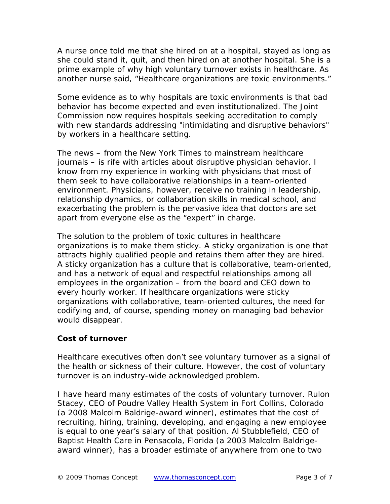A nurse once told me that she hired on at a hospital, stayed as long as she could stand it, quit, and then hired on at another hospital. She is a prime example of why high voluntary turnover exists in healthcare. As another nurse said, "Healthcare organizations are toxic environments."

Some evidence as to why hospitals are toxic environments is that bad behavior has become expected and even institutionalized. The Joint Commission now requires hospitals seeking accreditation to comply with new standards addressing "intimidating and disruptive behaviors" by workers in a healthcare setting.

The news – from the *New York Times* to mainstream healthcare journals – is rife with articles about disruptive physician behavior. I know from my experience in working with physicians that most of them seek to have collaborative relationships in a team-oriented environment. Physicians, however, receive no training in leadership, relationship dynamics, or collaboration skills in medical school, and exacerbating the problem is the pervasive idea that doctors are set apart from everyone else as the "expert" in charge.

The solution to the problem of toxic cultures in healthcare organizations is to make them sticky. A sticky organization is one that attracts highly qualified people and retains them after they are hired. A sticky organization has a culture that is collaborative, team-oriented, and has a network of equal and respectful relationships among all employees in the organization – from the board and CEO down to every hourly worker. If healthcare organizations were sticky organizations with collaborative, team-oriented cultures, the need for codifying and, of course, spending money on managing bad behavior would disappear.

#### **Cost of turnover**

Healthcare executives often don't see voluntary turnover as a signal of the health or sickness of their culture. However, the cost of voluntary turnover is an industry-wide acknowledged problem.

I have heard many estimates of the costs of voluntary turnover. Rulon Stacey, CEO of Poudre Valley Health System in Fort Collins, Colorado (a 2008 Malcolm Baldrige-award winner), estimates that the cost of recruiting, hiring, training, developing, and engaging a new employee is equal to one year's salary of that position. Al Stubblefield, CEO of Baptist Health Care in Pensacola, Florida (a 2003 Malcolm Baldrigeaward winner), has a broader estimate of anywhere from one to two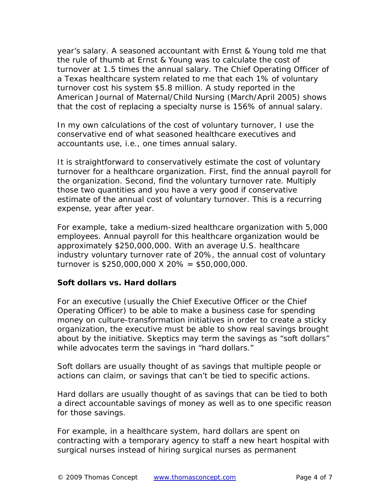year's salary. A seasoned accountant with Ernst & Young told me that the rule of thumb at Ernst & Young was to calculate the cost of turnover at 1.5 times the annual salary. The Chief Operating Officer of a Texas healthcare system related to me that each 1% of voluntary turnover cost his system \$5.8 million. A study reported in the *American Journal of Maternal/Child Nursing* (March/April 2005) shows that the cost of replacing a specialty nurse is 156% of annual salary.

In my own calculations of the cost of voluntary turnover, I use the conservative end of what seasoned healthcare executives and accountants use, i.e., one times annual salary.

It is straightforward to conservatively estimate the cost of voluntary turnover for a healthcare organization. First, find the annual payroll for the organization. Second, find the voluntary turnover rate. Multiply those two quantities and you have a very good if conservative estimate of the annual cost of voluntary turnover. This is a recurring expense, year after year.

For example, take a medium-sized healthcare organization with 5,000 employees. Annual payroll for this healthcare organization would be approximately \$250,000,000. With an average U.S. healthcare industry voluntary turnover rate of 20%, the annual cost of voluntary turnover is \$250,000,000 X 20% = \$50,000,000.

#### **Soft dollars vs. Hard dollars**

For an executive (usually the Chief Executive Officer or the Chief Operating Officer) to be able to make a business case for spending money on culture-transformation initiatives in order to create a sticky organization, the executive must be able to show real savings brought about by the initiative. Skeptics may term the savings as "soft dollars" while advocates term the savings in "hard dollars."

Soft dollars are usually thought of as savings that multiple people or actions can claim, or savings that can't be tied to specific actions.

Hard dollars are usually thought of as savings that can be tied to both a direct accountable savings of money as well as to one specific reason for those savings.

For example, in a healthcare system, hard dollars are spent on contracting with a temporary agency to staff a new heart hospital with surgical nurses instead of hiring surgical nurses as permanent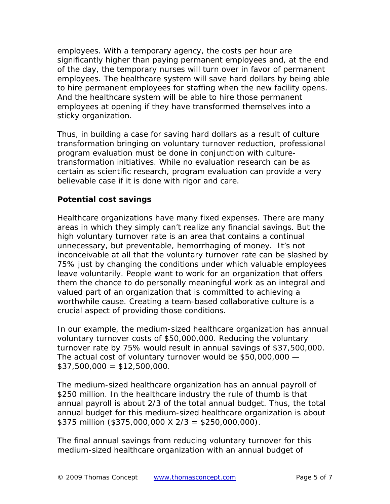employees. With a temporary agency, the costs per hour are significantly higher than paying permanent employees and, at the end of the day, the temporary nurses will turn over in favor of permanent employees. The healthcare system will save hard dollars by being able to hire permanent employees for staffing when the new facility opens. And the healthcare system will be able to hire those permanent employees at opening if they have transformed themselves into a sticky organization.

Thus, in building a case for saving hard dollars as a result of culture transformation bringing on voluntary turnover reduction, professional program evaluation must be done in conjunction with culturetransformation initiatives. While no evaluation research can be as certain as scientific research, program evaluation can provide a very believable case if it is done with rigor and care.

#### **Potential cost savings**

Healthcare organizations have many fixed expenses. There are many areas in which they simply can't realize any financial savings. But the high voluntary turnover rate is an area that contains a continual unnecessary, but preventable, hemorrhaging of money. It's not inconceivable at all that the voluntary turnover rate can be slashed by 75% just by changing the conditions under which valuable employees leave voluntarily. People want to work for an organization that offers them the chance to do personally meaningful work as an integral and valued part of an organization that is committed to achieving a worthwhile cause. Creating a team-based collaborative culture is a crucial aspect of providing those conditions.

In our example, the medium-sized healthcare organization has annual voluntary turnover costs of \$50,000,000. Reducing the voluntary turnover rate by 75% would result in annual savings of \$37,500,000. The actual cost of voluntary turnover would be \$50,000,000 —  $$37,500,000 = $12,500,000.$ 

The medium-sized healthcare organization has an annual payroll of \$250 million. In the healthcare industry the rule of thumb is that annual payroll is about 2/3 of the total annual budget. Thus, the total annual budget for this medium-sized healthcare organization is about \$375 million (\$375,000,000 X  $2/3 = $250,000,000$ ).

The final annual savings from reducing voluntary turnover for this medium-sized healthcare organization with an annual budget of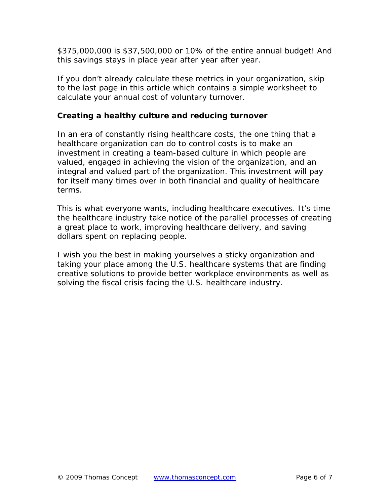\$375,000,000 is \$37,500,000 or 10% of the entire annual budget! And this savings stays in place year after year after year.

If you don't already calculate these metrics in your organization, skip to the last page in this article which contains a simple worksheet to calculate your annual cost of voluntary turnover.

#### **Creating a healthy culture and reducing turnover**

In an era of constantly rising healthcare costs, the one thing that a healthcare organization can do to control costs is to make an investment in creating a team-based culture in which people are valued, engaged in achieving the vision of the organization, and an integral and valued part of the organization. This investment will pay for itself many times over in both financial and quality of healthcare terms.

This is what everyone wants, including healthcare executives. It's time the healthcare industry take notice of the parallel processes of creating a great place to work, improving healthcare delivery, and saving dollars spent on replacing people.

I wish you the best in making yourselves a sticky organization and taking your place among the U.S. healthcare systems that are finding creative solutions to provide better workplace environments as well as solving the fiscal crisis facing the U.S. healthcare industry.